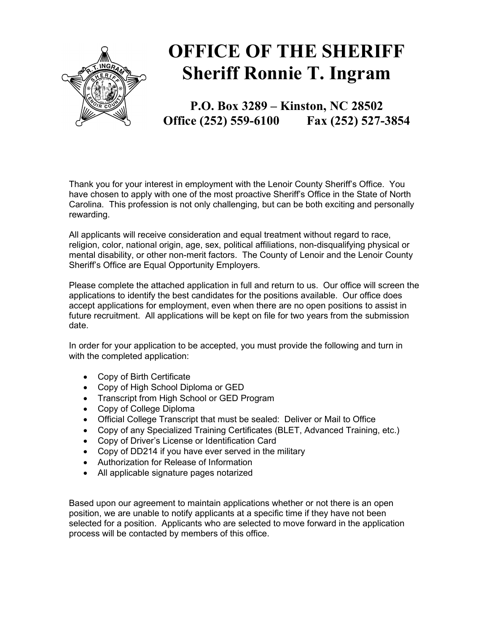

# OFFICE OF THE SHERIFF Sheriff Ronnie T. Ingram

P.O. Box 3289 – Kinston, NC 28502 Office (252) 559-6100 Fax (252) 527-3854

Thank you for your interest in employment with the Lenoir County Sheriff's Office. You have chosen to apply with one of the most proactive Sheriff's Office in the State of North Carolina. This profession is not only challenging, but can be both exciting and personally rewarding.

All applicants will receive consideration and equal treatment without regard to race, religion, color, national origin, age, sex, political affiliations, non-disqualifying physical or mental disability, or other non-merit factors. The County of Lenoir and the Lenoir County Sheriff's Office are Equal Opportunity Employers.

Please complete the attached application in full and return to us. Our office will screen the applications to identify the best candidates for the positions available. Our office does accept applications for employment, even when there are no open positions to assist in future recruitment. All applications will be kept on file for two years from the submission date.

In order for your application to be accepted, you must provide the following and turn in with the completed application:

- Copy of Birth Certificate
- Copy of High School Diploma or GED
- Transcript from High School or GED Program
- Copy of College Diploma
- Official College Transcript that must be sealed: Deliver or Mail to Office
- Copy of any Specialized Training Certificates (BLET, Advanced Training, etc.)
- Copy of Driver's License or Identification Card
- Copy of DD214 if you have ever served in the military
- Authorization for Release of Information
- All applicable signature pages notarized

Based upon our agreement to maintain applications whether or not there is an open position, we are unable to notify applicants at a specific time if they have not been selected for a position. Applicants who are selected to move forward in the application process will be contacted by members of this office.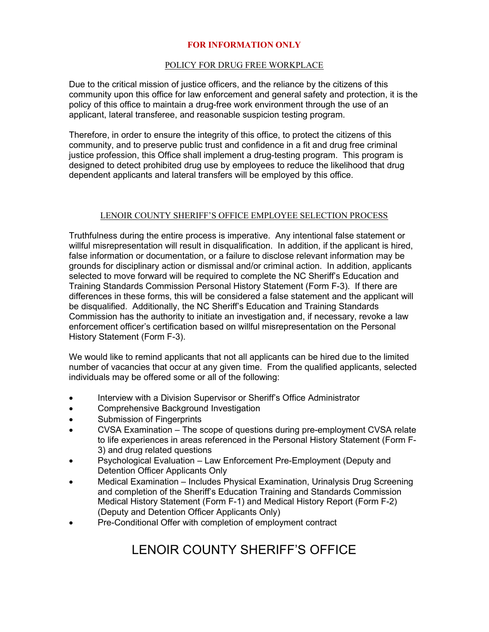### FOR INFORMATION ONLY

#### POLICY FOR DRUG FREE WORKPLACE

Due to the critical mission of justice officers, and the reliance by the citizens of this community upon this office for law enforcement and general safety and protection, it is the policy of this office to maintain a drug-free work environment through the use of an applicant, lateral transferee, and reasonable suspicion testing program.

Therefore, in order to ensure the integrity of this office, to protect the citizens of this community, and to preserve public trust and confidence in a fit and drug free criminal justice profession, this Office shall implement a drug-testing program. This program is designed to detect prohibited drug use by employees to reduce the likelihood that drug dependent applicants and lateral transfers will be employed by this office.

### LENOIR COUNTY SHERIFF'S OFFICE EMPLOYEE SELECTION PROCESS

Truthfulness during the entire process is imperative. Any intentional false statement or willful misrepresentation will result in disqualification. In addition, if the applicant is hired, false information or documentation, or a failure to disclose relevant information may be grounds for disciplinary action or dismissal and/or criminal action. In addition, applicants selected to move forward will be required to complete the NC Sheriff's Education and Training Standards Commission Personal History Statement (Form F-3). If there are differences in these forms, this will be considered a false statement and the applicant will be disqualified. Additionally, the NC Sheriff's Education and Training Standards Commission has the authority to initiate an investigation and, if necessary, revoke a law enforcement officer's certification based on willful misrepresentation on the Personal History Statement (Form F-3).

We would like to remind applicants that not all applicants can be hired due to the limited number of vacancies that occur at any given time. From the qualified applicants, selected individuals may be offered some or all of the following:

- Interview with a Division Supervisor or Sheriff's Office Administrator
- **•** Comprehensive Background Investigation
- Submission of Fingerprints
- CVSA Examination The scope of questions during pre-employment CVSA relate to life experiences in areas referenced in the Personal History Statement (Form F-3) and drug related questions
- Psychological Evaluation Law Enforcement Pre-Employment (Deputy and Detention Officer Applicants Only
- Medical Examination Includes Physical Examination, Urinalysis Drug Screening and completion of the Sheriff's Education Training and Standards Commission Medical History Statement (Form F-1) and Medical History Report (Form F-2) (Deputy and Detention Officer Applicants Only)
- Pre-Conditional Offer with completion of employment contract

## LENOIR COUNTY SHERIFF'S OFFICE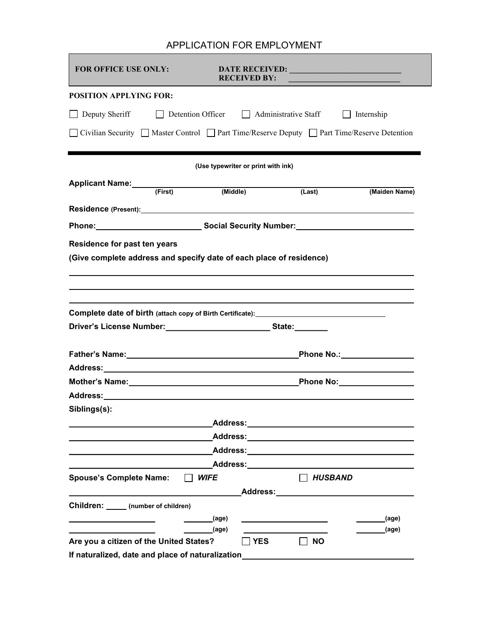### APPLICATION FOR EMPLOYMENT

п

| <b>FOR OFFICE USE ONLY:</b>                                                                                                                                                                                                    |                                    | <b>RECEIVED BY:</b> |                                                                                                                                                                                                                                | <b>DATE RECEIVED: EXAMPLE 2020</b>                                                                                                                                                                                             |
|--------------------------------------------------------------------------------------------------------------------------------------------------------------------------------------------------------------------------------|------------------------------------|---------------------|--------------------------------------------------------------------------------------------------------------------------------------------------------------------------------------------------------------------------------|--------------------------------------------------------------------------------------------------------------------------------------------------------------------------------------------------------------------------------|
| <b>POSITION APPLYING FOR:</b>                                                                                                                                                                                                  |                                    |                     |                                                                                                                                                                                                                                |                                                                                                                                                                                                                                |
| $\Box$ Deputy Sheriff                                                                                                                                                                                                          |                                    |                     | Detention Officer   Administrative Staff                                                                                                                                                                                       | $\Box$ Internship                                                                                                                                                                                                              |
|                                                                                                                                                                                                                                |                                    |                     |                                                                                                                                                                                                                                | □ Civilian Security □ Master Control □ Part Time/Reserve Deputy □ Part Time/Reserve Detention                                                                                                                                  |
|                                                                                                                                                                                                                                | (Use typewriter or print with ink) |                     |                                                                                                                                                                                                                                |                                                                                                                                                                                                                                |
| Applicant Name: (First) (Middle)                                                                                                                                                                                               |                                    |                     | (Last)                                                                                                                                                                                                                         | (Maiden Name)                                                                                                                                                                                                                  |
| Residence (Present): New York Change of the Change of the Change of the Change of the Change of the Change of the Change of the Change of the Change of the Change of the Change of the Change of the Change of the Change of  |                                    |                     |                                                                                                                                                                                                                                |                                                                                                                                                                                                                                |
|                                                                                                                                                                                                                                |                                    |                     |                                                                                                                                                                                                                                |                                                                                                                                                                                                                                |
| Residence for past ten years                                                                                                                                                                                                   |                                    |                     |                                                                                                                                                                                                                                |                                                                                                                                                                                                                                |
| (Give complete address and specify date of each place of residence)                                                                                                                                                            |                                    |                     |                                                                                                                                                                                                                                |                                                                                                                                                                                                                                |
|                                                                                                                                                                                                                                |                                    |                     |                                                                                                                                                                                                                                |                                                                                                                                                                                                                                |
|                                                                                                                                                                                                                                |                                    |                     |                                                                                                                                                                                                                                |                                                                                                                                                                                                                                |
| Complete date of birth (attach copy of Birth Certificate): <u>[19] North Complete date of birth</u>                                                                                                                            |                                    |                     |                                                                                                                                                                                                                                |                                                                                                                                                                                                                                |
|                                                                                                                                                                                                                                |                                    |                     |                                                                                                                                                                                                                                |                                                                                                                                                                                                                                |
|                                                                                                                                                                                                                                |                                    |                     |                                                                                                                                                                                                                                | _Phone No.:_________________                                                                                                                                                                                                   |
|                                                                                                                                                                                                                                |                                    |                     |                                                                                                                                                                                                                                |                                                                                                                                                                                                                                |
|                                                                                                                                                                                                                                |                                    |                     |                                                                                                                                                                                                                                | Phone No: _________________                                                                                                                                                                                                    |
| Address: Andreas Address: Address: Address: Address: Address: Address: Address: Address: Address: Address: Address: Address: Address: Address: Address: Address: Address: Address: Address: Address: Address: Address: Address |                                    |                     |                                                                                                                                                                                                                                |                                                                                                                                                                                                                                |
| Siblings(s):                                                                                                                                                                                                                   |                                    |                     |                                                                                                                                                                                                                                |                                                                                                                                                                                                                                |
|                                                                                                                                                                                                                                |                                    |                     |                                                                                                                                                                                                                                |                                                                                                                                                                                                                                |
|                                                                                                                                                                                                                                |                                    |                     |                                                                                                                                                                                                                                |                                                                                                                                                                                                                                |
|                                                                                                                                                                                                                                |                                    |                     |                                                                                                                                                                                                                                |                                                                                                                                                                                                                                |
|                                                                                                                                                                                                                                |                                    |                     |                                                                                                                                                                                                                                | Address: No. 1996. The Contract of the Contract of the Contract of the Contract of the Contract of the Contract of the Contract of the Contract of the Contract of the Contract of the Contract of the Contract of the Contrac |
| <b>Spouse's Complete Name:</b>                                                                                                                                                                                                 | <b>WIFE</b>                        |                     |                                                                                                                                                                                                                                | <b>HUSBAND</b>                                                                                                                                                                                                                 |
|                                                                                                                                                                                                                                |                                    |                     | Address: Andreas Address and Address and Address and Address and Address and Address and Address and Address and Address and Address and Address and Address and Address and Address and Address and Address and Address and A |                                                                                                                                                                                                                                |
| Children: ______ (number of children)                                                                                                                                                                                          |                                    |                     |                                                                                                                                                                                                                                |                                                                                                                                                                                                                                |
|                                                                                                                                                                                                                                | _(age)                             |                     |                                                                                                                                                                                                                                | (age)                                                                                                                                                                                                                          |
| Are you a citizen of the United States?                                                                                                                                                                                        | (age)                              | <b>YES</b>          | <b>NO</b>                                                                                                                                                                                                                      | ________(age)                                                                                                                                                                                                                  |
| If naturalized, date and place of naturalization                                                                                                                                                                               |                                    |                     |                                                                                                                                                                                                                                |                                                                                                                                                                                                                                |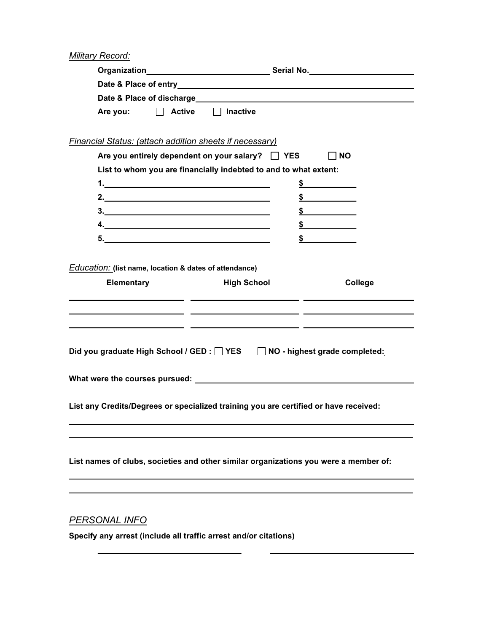**Military Record:** 

|                                                                                          |                    | Organization________________________________Serial No.__________________________ |
|------------------------------------------------------------------------------------------|--------------------|----------------------------------------------------------------------------------|
|                                                                                          |                    |                                                                                  |
|                                                                                          |                    |                                                                                  |
| $\Box$ Active<br>Are you:                                                                | $\Box$ Inactive    |                                                                                  |
| Financial Status: (attach addition sheets if necessary)                                  |                    |                                                                                  |
| Are you entirely dependent on your salary? The YES                                       |                    | $\Box$ NO                                                                        |
| List to whom you are financially indebted to and to what extent:                         |                    |                                                                                  |
|                                                                                          |                    | $\int$                                                                           |
| 2. $\overline{\phantom{a}}$                                                              |                    | $\frac{1}{2}$                                                                    |
| $\frac{3}{2}$                                                                            |                    | $\frac{1}{2}$                                                                    |
|                                                                                          |                    | $\frac{\text{S}}{\text{S}}$                                                      |
| 5.                                                                                       |                    | $\frac{1}{\sqrt{2}}$                                                             |
| <b>Education:</b> (list name, location & dates of attendance)<br>Elementary              | <b>High School</b> | College                                                                          |
|                                                                                          |                    |                                                                                  |
| Did you graduate High School / GED : YES NO - highest grade completed:                   |                    |                                                                                  |
| List any Credits/Degrees or specialized training you are certified or have received:     |                    |                                                                                  |
| List names of clubs, societies and other similar organizations you were a member of:     |                    |                                                                                  |
| <b>PERSONAL INFO</b><br>Specify any arrest (include all traffic arrest and/or citations) |                    |                                                                                  |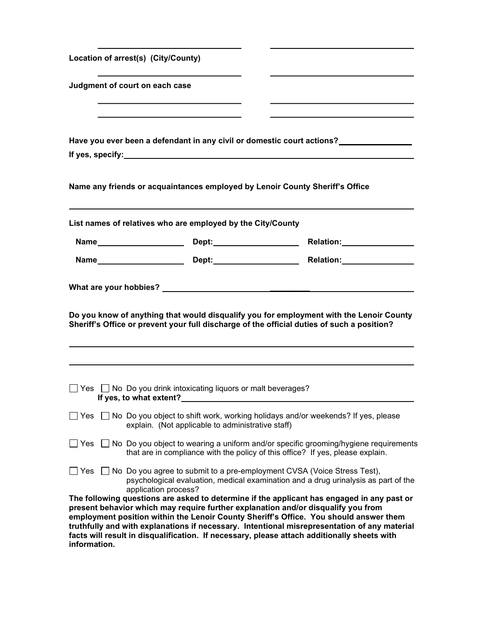| Location of arrest(s) (City/County)                                                                                                                                                                                                                                                                                                                                                                                                                                                                                                                                                 |  |  |
|-------------------------------------------------------------------------------------------------------------------------------------------------------------------------------------------------------------------------------------------------------------------------------------------------------------------------------------------------------------------------------------------------------------------------------------------------------------------------------------------------------------------------------------------------------------------------------------|--|--|
| Judgment of court on each case                                                                                                                                                                                                                                                                                                                                                                                                                                                                                                                                                      |  |  |
| Have you ever been a defendant in any civil or domestic court actions?<br>If yes, specify: the state of the state of the state of the state of the state of the state of the state of the state of the state of the state of the state of the state of the state of the state of the state of the state                                                                                                                                                                                                                                                                             |  |  |
| Name any friends or acquaintances employed by Lenoir County Sheriff's Office                                                                                                                                                                                                                                                                                                                                                                                                                                                                                                        |  |  |
| List names of relatives who are employed by the City/County                                                                                                                                                                                                                                                                                                                                                                                                                                                                                                                         |  |  |
|                                                                                                                                                                                                                                                                                                                                                                                                                                                                                                                                                                                     |  |  |
|                                                                                                                                                                                                                                                                                                                                                                                                                                                                                                                                                                                     |  |  |
| Do you know of anything that would disqualify you for employment with the Lenoir County<br>Sheriff's Office or prevent your full discharge of the official duties of such a position?                                                                                                                                                                                                                                                                                                                                                                                               |  |  |
| $\Box$ Yes $\Box$ No Do you drink intoxicating liquors or malt beverages?                                                                                                                                                                                                                                                                                                                                                                                                                                                                                                           |  |  |
| $\Box$ Yes $\Box$ No Do you object to shift work, working holidays and/or weekends? If yes, please<br>explain. (Not applicable to administrative staff)                                                                                                                                                                                                                                                                                                                                                                                                                             |  |  |
| $\Box$ Yes $\Box$ No Do you object to wearing a uniform and/or specific grooming/hygiene requirements<br>that are in compliance with the policy of this office? If yes, please explain.                                                                                                                                                                                                                                                                                                                                                                                             |  |  |
| $\Box$ Yes $\Box$ No Do you agree to submit to a pre-employment CVSA (Voice Stress Test),<br>psychological evaluation, medical examination and a drug urinalysis as part of the<br>application process?<br>The following questions are asked to determine if the applicant has engaged in any past or<br>present behavior which may require further explanation and/or disqualify you from<br>employment position within the Lenoir County Sheriff's Office. You should answer them<br>truthfully and with explanations if necessary. Intentional misrepresentation of any material |  |  |
| facts will result in disqualification. If necessary, please attach additionally sheets with                                                                                                                                                                                                                                                                                                                                                                                                                                                                                         |  |  |

information.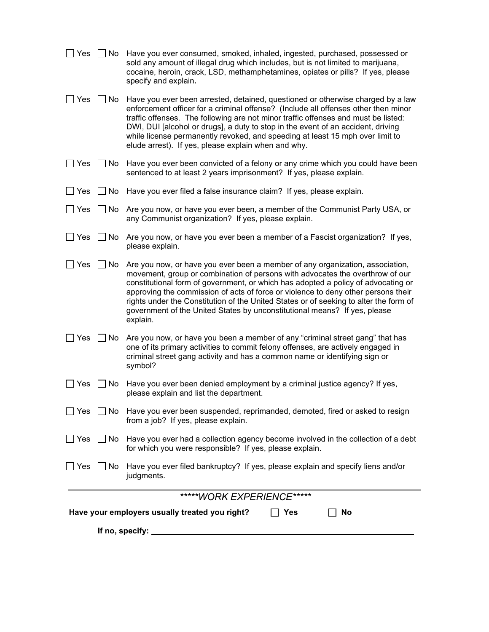| Yes                                                                 | □ No Have you ever consumed, smoked, inhaled, ingested, purchased, possessed or<br>sold any amount of illegal drug which includes, but is not limited to marijuana,<br>cocaine, heroin, crack, LSD, methamphetamines, opiates or pills? If yes, please<br>specify and explain.                                                                                                                                                                                                                                                       |  |  |
|---------------------------------------------------------------------|--------------------------------------------------------------------------------------------------------------------------------------------------------------------------------------------------------------------------------------------------------------------------------------------------------------------------------------------------------------------------------------------------------------------------------------------------------------------------------------------------------------------------------------|--|--|
|                                                                     | Yes □ No Have you ever been arrested, detained, questioned or otherwise charged by a law<br>enforcement officer for a criminal offense? (Include all offenses other then minor<br>traffic offenses. The following are not minor traffic offenses and must be listed:<br>DWI, DUI [alcohol or drugs], a duty to stop in the event of an accident, driving<br>while license permanently revoked, and speeding at least 15 mph over limit to<br>elude arrest). If yes, please explain when and why.                                     |  |  |
| $\Box$ Yes                                                          | $\Box$ No Have you ever been convicted of a felony or any crime which you could have been<br>sentenced to at least 2 years imprisonment? If yes, please explain.                                                                                                                                                                                                                                                                                                                                                                     |  |  |
| ∐ Yes                                                               | $\Box$ No Have you ever filed a false insurance claim? If yes, please explain.                                                                                                                                                                                                                                                                                                                                                                                                                                                       |  |  |
| Yes                                                                 | $\Box$ No $\,$ Are you now, or have you ever been, a member of the Communist Party USA, or<br>any Communist organization? If yes, please explain.                                                                                                                                                                                                                                                                                                                                                                                    |  |  |
|                                                                     | $\Box$ Yes $\Box$ No $\,$ Are you now, or have you ever been a member of a Fascist organization? If yes,<br>please explain.                                                                                                                                                                                                                                                                                                                                                                                                          |  |  |
| Yes                                                                 | $\Box$ No Are you now, or have you ever been a member of any organization, association,<br>movement, group or combination of persons with advocates the overthrow of our<br>constitutional form of government, or which has adopted a policy of advocating or<br>approving the commission of acts of force or violence to deny other persons their<br>rights under the Constitution of the United States or of seeking to alter the form of<br>government of the United States by unconstitutional means? If yes, please<br>explain. |  |  |
| $\Box$ Yes $\Box$ No                                                | Are you now, or have you been a member of any "criminal street gang" that has<br>one of its primary activities to commit felony offenses, are actively engaged in<br>criminal street gang activity and has a common name or identifying sign or<br>symbol?                                                                                                                                                                                                                                                                           |  |  |
| $\Box$ No<br>Yes                                                    | Have you ever been denied employment by a criminal justice agency? If yes,<br>please explain and list the department.                                                                                                                                                                                                                                                                                                                                                                                                                |  |  |
|                                                                     | $\Box$ Yes $\Box$ No $\Box$ Have you ever been suspended, reprimanded, demoted, fired or asked to resign<br>from a job? If yes, please explain.                                                                                                                                                                                                                                                                                                                                                                                      |  |  |
|                                                                     | $\Box$ Yes $\Box$ No Have you ever had a collection agency become involved in the collection of a debt<br>for which you were responsible? If yes, please explain.                                                                                                                                                                                                                                                                                                                                                                    |  |  |
|                                                                     | $\Box$ Yes $\Box$ No Have you ever filed bankruptcy? If yes, please explain and specify liens and/or<br>judgments.                                                                                                                                                                                                                                                                                                                                                                                                                   |  |  |
| *****WORK EXPERIENCE*****                                           |                                                                                                                                                                                                                                                                                                                                                                                                                                                                                                                                      |  |  |
| Have your employers usually treated you right?<br><b>]Yes</b><br>No |                                                                                                                                                                                                                                                                                                                                                                                                                                                                                                                                      |  |  |
| If no, specify: _                                                   |                                                                                                                                                                                                                                                                                                                                                                                                                                                                                                                                      |  |  |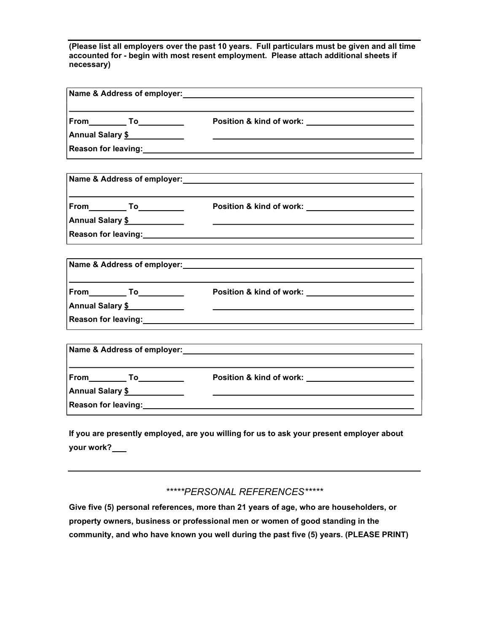(Please list all employers over the past 10 years. Full particulars must be given and all time accounted for - begin with most resent employment. Please attach additional sheets if necessary)

| Name & Address of employer:                                           |                                                                                                                                                                                                            |
|-----------------------------------------------------------------------|------------------------------------------------------------------------------------------------------------------------------------------------------------------------------------------------------------|
|                                                                       | Position & kind of work: __________________________                                                                                                                                                        |
| Annual Salary \$                                                      | <u> 1980 - John Stone, amerikansk politiker (</u>                                                                                                                                                          |
|                                                                       |                                                                                                                                                                                                            |
|                                                                       |                                                                                                                                                                                                            |
|                                                                       | Position & kind of work: _____________________________                                                                                                                                                     |
| Annual Salary \$                                                      | the control of the control of the control of the control of the control of the control of<br>Reason for leaving: 1999 and 2008 and 2009 and 2009 and 2009 and 2009 and 2009 and 2009 and 2009 and 2009 and |
|                                                                       |                                                                                                                                                                                                            |
|                                                                       | Position & kind of work: New York: New York Street, New York Street, New York Street, New York Street, New York                                                                                            |
| Annual Salary \$                                                      | <u> 1989 - Andrea Station Barbara, actor a component de la componentación de la componentación de la componentaci</u>                                                                                      |
|                                                                       |                                                                                                                                                                                                            |
|                                                                       | Name & Address of employer: Manual Manual Manual Manual Manual Manual Manual Manual Manual Manual Manual Manua                                                                                             |
|                                                                       |                                                                                                                                                                                                            |
| Annual Salary \$<br>Reason for leaving:<br><u>Neason</u> for leaving: |                                                                                                                                                                                                            |
|                                                                       |                                                                                                                                                                                                            |

If you are presently employed, are you willing for us to ask your present employer about your work?

\*\*\*\*\*PERSONAL REFERENCES\*\*\*\*\*

Give five (5) personal references, more than 21 years of age, who are householders, or property owners, business or professional men or women of good standing in the community, and who have known you well during the past five (5) years. (PLEASE PRINT)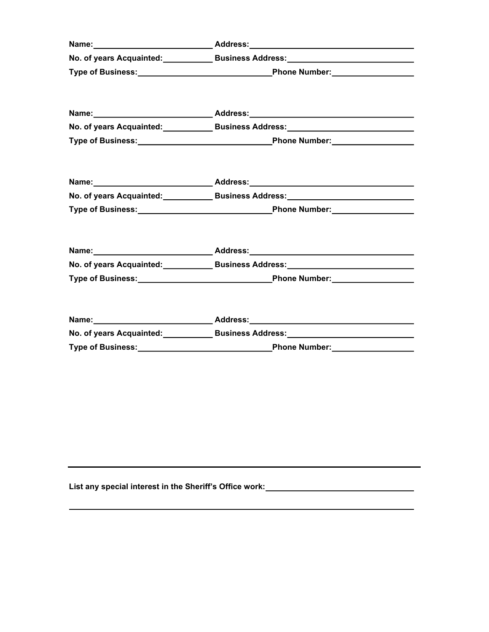| Name: __________________________________Address:_________________________________  |  |  |
|------------------------------------------------------------------------------------|--|--|
| No. of years Acquainted:_______________Business Address:________________________   |  |  |
|                                                                                    |  |  |
| Name: __________________________________Address:________________________________   |  |  |
| No. of years Acquainted:_______________Business Address:________________________   |  |  |
|                                                                                    |  |  |
|                                                                                    |  |  |
| No. of years Acquainted: Business Address: Management Control of years Acquainted: |  |  |
|                                                                                    |  |  |
| No. of years Acquainted:______________Business Address:_________________________   |  |  |
|                                                                                    |  |  |
|                                                                                    |  |  |
|                                                                                    |  |  |
|                                                                                    |  |  |

List any special interest in the Sheriff's Office work: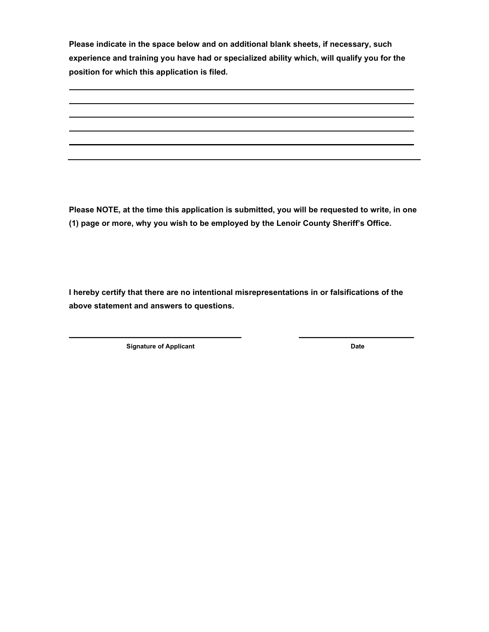Please indicate in the space below and on additional blank sheets, if necessary, such experience and training you have had or specialized ability which, will qualify you for the position for which this application is filed.

Please NOTE, at the time this application is submitted, you will be requested to write, in one (1) page or more, why you wish to be employed by the Lenoir County Sheriff's Office.

I hereby certify that there are no intentional misrepresentations in or falsifications of the above statement and answers to questions.

Signature of Applicant Date Date Date

 $\overline{\phantom{0}}$ 

 $\overline{a}$